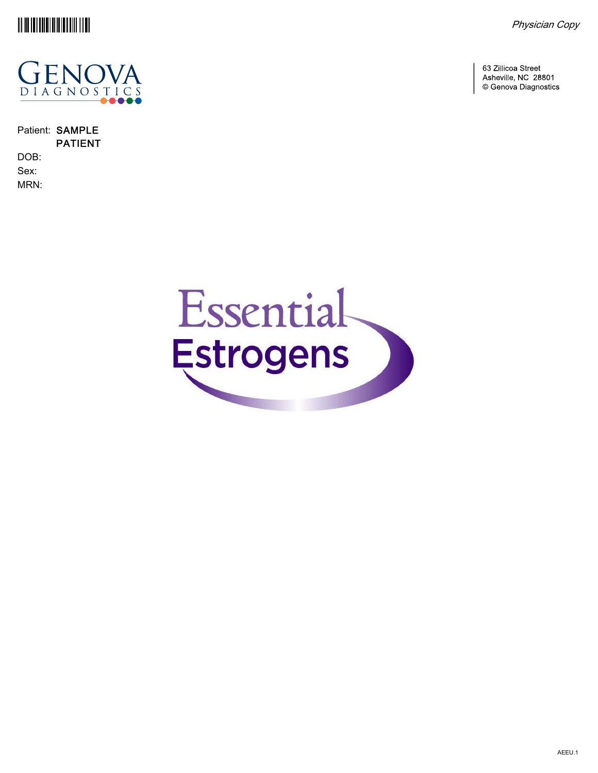





Patient: SAMPLE PATIENT DOB: Sex: MRN:

63 Zillicoa Street Asheville, NC 28801 © Genova Diagnostics

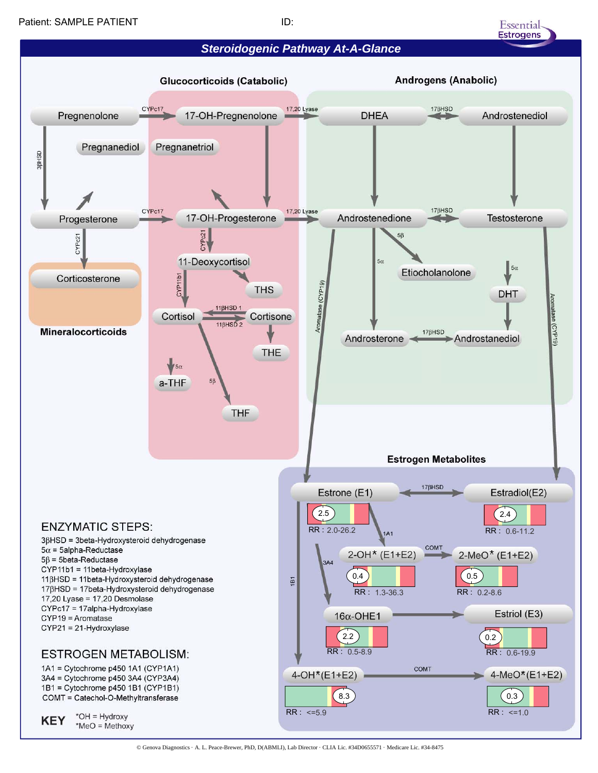

Essential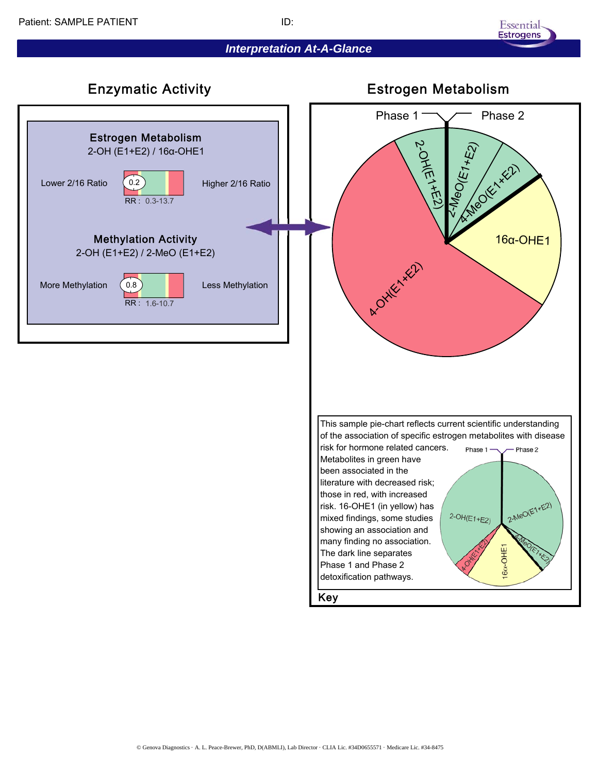## *Interpretation At-A-Glance*





© Genova Diagnostics · A. L. Peace-Brewer, PhD, D(ABMLI), Lab Director · CLIA Lic. #34D0655571 · Medicare Lic. #34-8475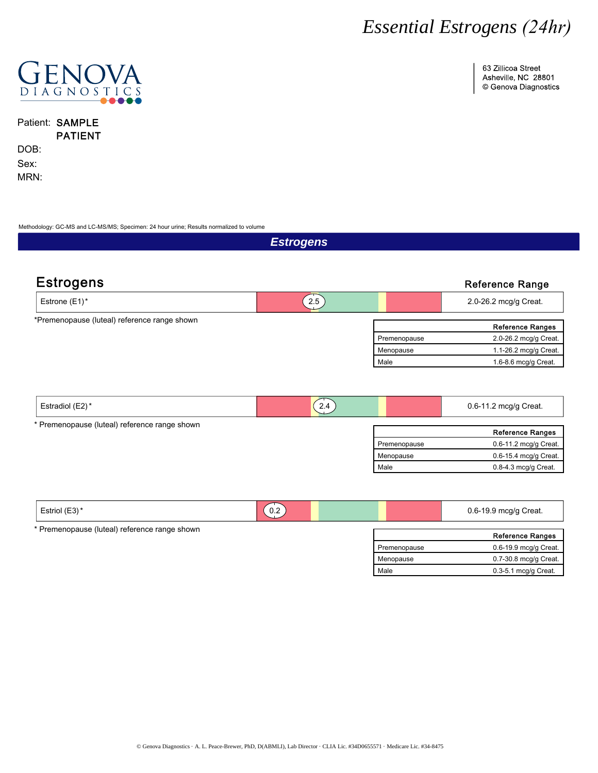63 Zillicoa Street Asheville, NC 28801 © Genova Diagnostics



Patient: SAMPLE PATIENT

DOB: Sex: MRN:

Methodology: GC-MS and LC-MS/MS; Specimen: 24 hour urine; Results normalized to volume

*Estrogens* Estrogens **Extraordinate Range Reference Range** Male Reference Ranges Premenopause Menopause 1.6-8.6 mcg/g Creat. 1.1-26.2 mcg/g Creat. 2.0-26.2 mcg/g Creat. \*Premenopause (luteal) reference range shown Estrone (E1)\* 2.0-26.2 mcg/g Creat.

| Estradiol (E2)*                               | 2.4          | $0.6 - 11.2$ mcg/g Creat. |
|-----------------------------------------------|--------------|---------------------------|
| * Premenopause (luteal) reference range shown |              | <b>Reference Ranges</b>   |
|                                               | Premenopause | 0.6-11.2 mcg/g Creat.     |
|                                               | Menopause    | 0.6-15.4 mcg/g Creat.     |
|                                               | Male         | $0.8-4.3$ mcg/g Creat.    |
|                                               |              |                           |

| $\sqrt{2}$<br>Estrol(E3) | $\sim$<br>v.z<br>_ | $0.6 - 19.9$<br>⋅ Creat.<br>mca/a<br>ັ |
|--------------------------|--------------------|----------------------------------------|
|                          |                    |                                        |

\* Premenopause (luteal) reference range shown

|              | <b>Reference Ranges</b> |
|--------------|-------------------------|
| Premenopause | 0.6-19.9 mcg/g Creat.   |
| Menopause    | 0.7-30.8 mcg/g Creat.   |
| Male         | $0.3-5.1$ mcg/g Creat.  |